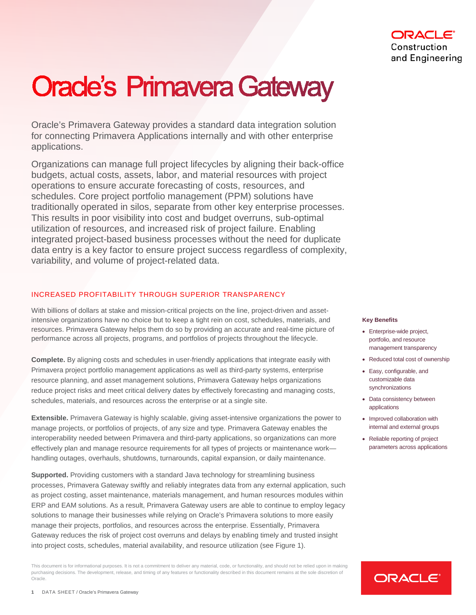# Construction and Engineering

# **Oracle's Primavera Gateway**

Oracle's Primavera Gateway provides a standard data integration solution for connecting Primavera Applications internally and with other enterprise applications.

Organizations can manage full project lifecycles by aligning their back-office budgets, actual costs, assets, labor, and material resources with project operations to ensure accurate forecasting of costs, resources, and schedules. Core project portfolio management (PPM) solutions have traditionally operated in silos, separate from other key enterprise processes. This results in poor visibility into cost and budget overruns, sub-optimal utilization of resources, and increased risk of project failure. Enabling integrated project-based business processes without the need for duplicate data entry is a key factor to ensure project success regardless of complexity, variability, and volume of project-related data.

# INCREASED PROFITABILITY THROUGH SUPERIOR TRANSPARENCY

With billions of dollars at stake and mission-critical projects on the line, project-driven and assetintensive organizations have no choice but to keep a tight rein on cost, schedules, materials, and resources. Primavera Gateway helps them do so by providing an accurate and real-time picture of performance across all projects, programs, and portfolios of projects throughout the lifecycle.

**Complete.** By aligning costs and schedules in user-friendly applications that integrate easily with Primavera project portfolio management applications as well as third-party systems, enterprise resource planning, and asset management solutions, Primavera Gateway helps organizations reduce project risks and meet critical delivery dates by effectively forecasting and managing costs, schedules, materials, and resources across the enterprise or at a single site.

**Extensible.** Primavera Gateway is highly scalable, giving asset-intensive organizations the power to manage projects, or portfolios of projects, of any size and type. Primavera Gateway enables the interoperability needed between Primavera and third-party applications, so organizations can more effectively plan and manage resource requirements for all types of projects or maintenance work handling outages, overhauls, shutdowns, turnarounds, capital expansion, or daily maintenance.

**Supported.** Providing customers with a standard Java technology for streamlining business processes, Primavera Gateway swiftly and reliably integrates data from any external application, such as project costing, asset maintenance, materials management, and human resources modules within ERP and EAM solutions. As a result, Primavera Gateway users are able to continue to employ legacy solutions to manage their businesses while relying on Oracle's Primavera solutions to more easily manage their projects, portfolios, and resources across the enterprise. Essentially, Primavera Gateway reduces the risk of project cost overruns and delays by enabling timely and trusted insight into project costs, schedules, material availability, and resource utilization (see Figure 1).

This document is for informational purposes. It is not a commitment to deliver any material, code, or functionality, and should not be relied upon in making purchasing decisions. The development, release, and timing of any features or functionality described in this document remains at the sole discretion of Oracle.

#### **Key Benefits**

- Enterprise-wide project, portfolio, and resource management transparency
- Reduced total cost of ownership
- Easy, configurable, and customizable data synchronizations
- Data consistency between applications
- Improved collaboration with internal and external groups
- Reliable reporting of project parameters across applications

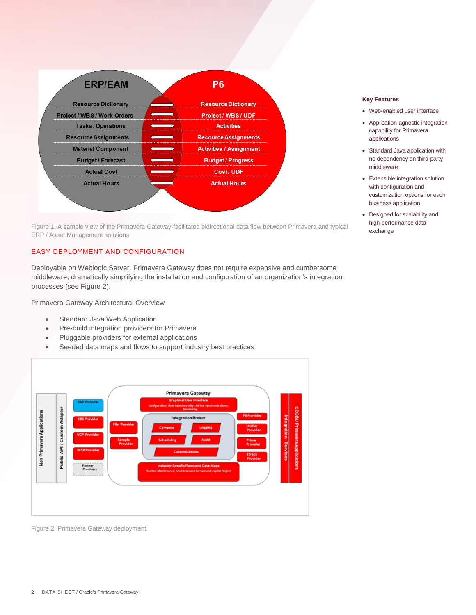

Figure 1. A sample view of the Primavera Gateway-facilitated bidirectional data flow between Primavera and typical ERP / Asset Management solutions.

# EASY DEPLOYMENT AND CONFIGURATION

Deployable on Weblogic Server, Primavera Gateway does not require expensive and cumbersome middleware, dramatically simplifying the installation and configuration of an organization's integration processes (see Figure 2).

Primavera Gateway Architectural Overview

- Standard Java Web Application
- Pre-build integration providers for Primavera
- Pluggable providers for external applications
- Seeded data maps and flows to support industry best practices



Figure 2. Primavera Gateway deployment.

#### **Key Features**

- Web-enabled user interface
- Application-agnostic integration capability for Primavera applications
- Standard Java application with no dependency on third-party middleware
- Extensible integration solution with configuration and customization options for each business application
- Designed for scalability and high-performance data exchange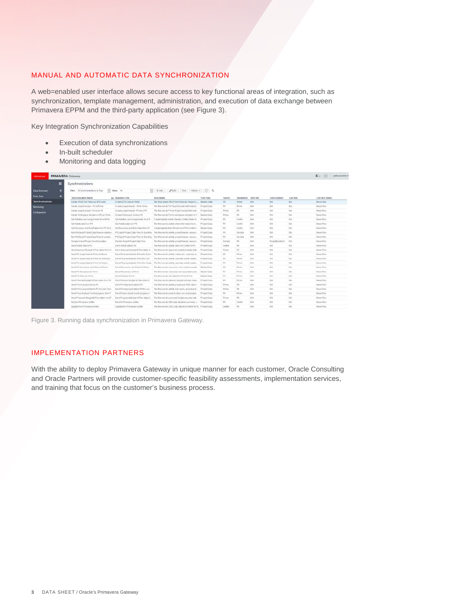# MANUAL AND AUTOMATIC DATA SYNCHRONIZATION

A web=enabled user interface allows secure access to key functional areas of integration, such as synchronization, template management, administration, and execution of data exchange between Primavera EPPM and the third-party application (see Figure 3).

Key Integration Synchronization Capabilities

- Execution of data synchronizations
- In-built scheduler
- Monitoring and data logging

| <b>CRACLE</b>          |   | <b>PRIMAVERA Galeway</b>                                                         |                                               |                                                                                             |                    |              |                       |                        |                       |                       | 水- (?)<br>gatewayadmin =            |
|------------------------|---|----------------------------------------------------------------------------------|-----------------------------------------------|---------------------------------------------------------------------------------------------|--------------------|--------------|-----------------------|------------------------|-----------------------|-----------------------|-------------------------------------|
|                        | Ξ | Synchronizations                                                                 |                                               |                                                                                             |                    |              |                       |                        |                       |                       |                                     |
| <b>Data Dictionary</b> |   | Filter   All-Dynchronizations by Fight                                           | ivi Value All                                 | $= 4$ Add. / Edl., Run Adoles + C Q                                                         |                    |              |                       |                        |                       |                       |                                     |
| <b>Plow Type</b>       |   |                                                                                  |                                               |                                                                                             |                    |              |                       |                        |                       |                       |                                     |
| Synchronizations       |   | Systehronication Barne<br>Crosts P6 EPS in Prime an EPS code                     | 4.4 Business Flow<br>Create EPS Code is Prime | Description<br>The flow smads PG EPS to Prima as Project C., Master Data                    | Fiory Trop         | Stereo<br>76 | Destination:<br>Prime | Next Yes<br><b>HIA</b> | Eventitistener<br>813 | Lanz Run<br><b>NA</b> | Lasz Run Status<br><b>Nevot Ram</b> |
|                        |   | Create smitcheadler-PAto Prime                                                   | Create project header - P6 to Prime           | The flow lunch P5 Project his day information f.                                            | Project Data       | P5           | Prime                 | NA                     | 1484                  | NA.                   | Never Run                           |
| Montcring              |   | Create project/neader- Prime to P6                                               | Create project header- Prime to PS            | The flow sends Printe Project lieader Informat                                              | Project Data       | Prime        | Pb.                   | NA                     | 1419.                 | TON.                  | Nevel Run                           |
| Configuration          |   | Create Worksgrape structure in P6 as Prime                                       | Create Workpopps Code in PE                   | The flow sends Prime wertspace strucking to P.                                              | Master Corp.       | Prima        | $_{pg}$               | san.                   | 14/5                  | <b>TAN</b>            | Mayor Runs                          |
|                        |   | Gel-Activities and Assignments from P6 for                                       | Gat Actuales and Assignments from P.          | Created Initiate Artistic Sheet in United Shells for                                        | Project Data       | 95           | Linflan               | NA.                    | 1254                  | TON.                  | <b>Never Ford</b>                   |
|                        |   |                                                                                  |                                               |                                                                                             |                    |              |                       |                        |                       |                       |                                     |
|                        |   | Get Activity data Forn PO<br>Cet Raspurce and Role Rates from P6 for E.          | Get Activity data from Pd.                    | The flow sends adjuly sheet information from                                                | Project Data       | 75<br>74     | Lyutier               | NA.<br>14h             | 3475<br>34%           | ran-<br>No.           | <b>Never Run</b>                    |
|                        |   |                                                                                  | Cat Repource and Role Rates from P            | Create Update Rate Sheets from P6 to Unifier f.                                             | Master Cats        |              | Listar                |                        |                       |                       | <b>Never Run</b>                    |
|                        |   | <b>Run P6 Export Project Data Row for create a</b>                               | P5 Export Project Data How for Eventing       | The flow sixt do adjust, project haught, resourc-                                           | <b>Prised Data</b> | $1\%$        | Sample                | <b>NA</b>              | 1414.                 | <b>NA</b>             | <b>Neverlish</b>                    |
|                        |   | Ran F6 Export Project Data Flow for update.                                      |                                               | P1 Esport Project Data Flow for Eventing The flow a ends adliefs project fination, resourc  | Protect Dista      | P6           | Simple.               | 145.                   | 34%                   | ran.                  | <b>Térires Plans</b>                |
|                        |   | Sample Import Project Synchronization                                            | Stample Import Project Data Flow              | The flow cando actuely, project header, recourc.                                            | Project Data       | Sample       | PE                    | <b>NA</b>              | ProjectEventList      | <b>FASK</b>           | Never Run                           |
|                        |   | Send Adtwir data to PS                                                           | Sand Activity custs to PIS                    | The flow sands actualy gata from Uniter to PS.                                              | Project Lisca      | Uniter       | PS:                   | <b>ISA</b>             | Title                 | TA%                   | <b>Téever Flori</b>                 |
|                        |   | Send Approved Budget & Play detect from Fr. Bend Approved Dudget & Flan dates to |                                               | The flow sends approved budget and plan date                                                | Project Data       | Prime        | PG.                   | NA.                    | 34%                   | Tari.                 | Never Fisco                         |
|                        |   | Send PS project data to Prima for Risite                                         | Sand Pil project data to Prime for Risins     | The flow sunds adjuly, adjuly risk, calendar, pr.                                           | Project Data       | 26           | Prima                 | <b>NA</b>              | tin.                  | FAN.                  | <b>Never Flory</b>                  |
|                        |   | Send PS project data to Prime for Schedure                                       | Sand P6 project data to Prime for Sch.        | The flow sends adside catendar actubristatio.                                               | PYOMOTEUGA         | 375          | PTITIB                | NA                     | 3475                  | TUN.                  | <b>Jakvat Rum</b>                   |
|                        |   | Sind PS project data to Prime for Doppe                                          |                                               | Gond P6 project data to Prime for Socos - The flow sends adjust, calendae activity relatio. | Project Data       | T4           | Print                 | <b>NA</b>              | 14th                  | ran.                  | Never Bars                          |
|                        |   | Send P4 Resources and Roles to Prime                                             | Sand Resources and Roles to Prime             | The flow tunnity instruction, roles and paymishe-                                           | Master Cats        | $p_{\rm S}$  | Prima                 | NA.                    | 165                   | TANK <sup>1</sup>     | Mayer Ford                          |
|                        |   | Send PS Resources to Prime                                                       | Send Resources to Prime                       | The flow sends resources and associated cale.                                               | Master Data        | P6           | Pitche                | NA                     | <b>ELSA</b>           | <b>FAN</b>            | Meyer Run                           |
|                        |   | Cond PS Roles to Printer                                                         | Sand Roles to Prime                           | The flow sands role oats from PS to Drime.                                                  | Master Clair       | 75           | <b>Thirty</b>         | Fam.                   | 1416                  | NA                    | <b>Blever Florid</b>                |
|                        |   | <b>Bend Planned Budget &amp; Plan cales from P6</b>                              | Sand Planned Budget & Plan dates fr           | The flow sends olarened budget and glan dates.                                              | Project Data       | PS           | Prime                 | <b>NAME</b>            | 1ith                  | <b>NAN</b>            | Never Fixes                         |
|                        |   | Send Prime project data to PS                                                    | Send Prime project data to P6                 | The flow sericla activity project and WBS-bata F.                                           | Project Data       | Frime        | PS:                   | <b>NAM</b>             | sus.                  | NA                    | <b>Steven Rock</b>                  |
|                        |   | Dand Prima project data to PS for Lean Tizzic                                    | Sand Prime project data to P6 for Lex.        | The flow sixeds adjuly, Isan tasks, prajed and                                              | ProjectData        | <b>Pomp</b>  | put :                 | tan.                   | 1415                  | ran.                  | Never Burs                          |
|                        |   | Send Project Actual Cred & programs from P.                                      | Sand Project Arbital Cost & progress 1        | The flow sweds project actual cost and progres.                                             | Project Eata       | P6           | Prima                 | NA.                    | 1416                  | ran.                  | <b>NeverFord</b>                    |
|                        |   | Send Proposed Budget & Plan dates from P.  Send Proposed Budget & Plan dates F.  |                                               | The flow sendy proposed budget and plan dat.                                                | Project Data       | Prices       | PS                    | NA                     | <b>ALIA</b>           | NS.                   | Never Russ                          |
|                        |   | Sint is Primavers Unifer                                                         | Sand to Primayes Unifer                       | The flow s ands: CBS data (duration sammary a Project Esta                                  |                    | P4           | Lindlan               | ran.                   | 3415.                 | PATL.                 | <b>NeverBun</b>                     |
|                        |   | Update from Phimavera Unifier                                                    | Update from Frimtwerz Under                   | The flow sweds CBS code data from Unitier to PS. Prisect Data                               |                    | Under        | Pb.                   | Fam.                   | 14%                   | ran.                  | <b>Never Fight</b>                  |

Figure 3. Running data synchronization in Primavera Gateway.

## IMPLEMENTATION PARTNERS

With the ability to deploy Primavera Gateway in unique manner for each customer, Oracle Consulting and Oracle Partners will provide customer-specific feasibility assessments, implementation services, and training that focus on the customer's business process.